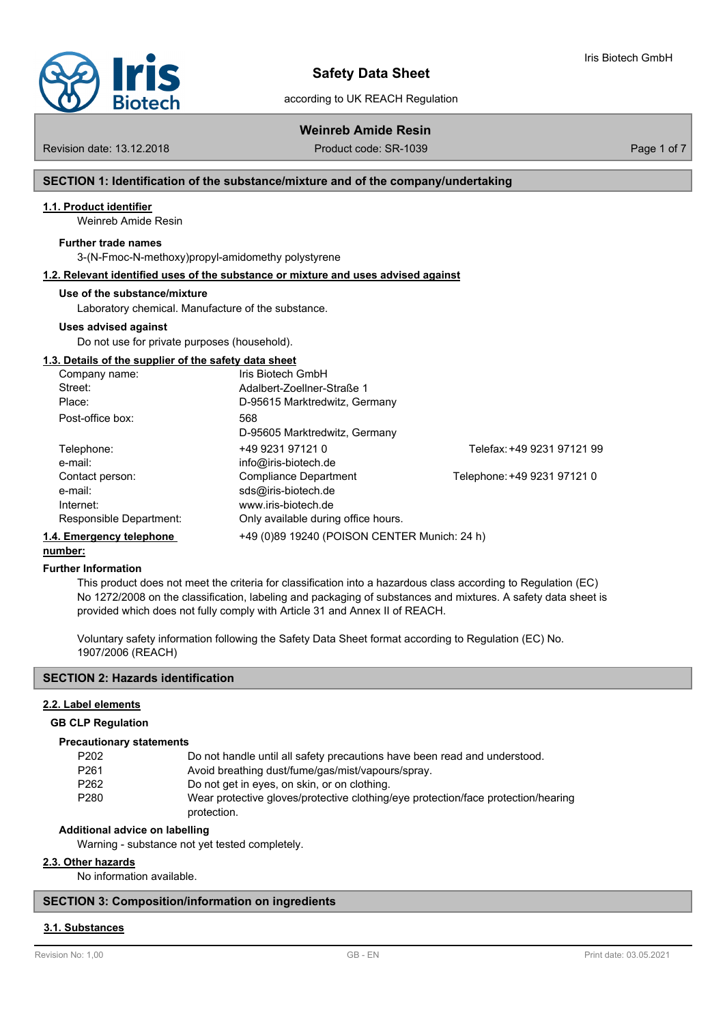

# **Safety Data Sheet**

according to UK REACH Regulation

Iris Biotech GmbH

**Weinreb Amide Resin**

Revision date: 13.12.2018 Product code: SR-1039 Page 1 of 7

# **SECTION 1: Identification of the substance/mixture and of the company/undertaking**

# **1.1. Product identifier**

Weinreb Amide Resin

# **Further trade names**

3-(N-Fmoc-N-methoxy)propyl-amidomethy polystyrene

# **1.2. Relevant identified uses of the substance or mixture and uses advised against**

### **Use of the substance/mixture**

Laboratory chemical. Manufacture of the substance.

### **Uses advised against**

Do not use for private purposes (household).

### **1.3. Details of the supplier of the safety data sheet**

| Company name:            | Iris Biotech GmbH                            |                             |
|--------------------------|----------------------------------------------|-----------------------------|
| Street:                  | Adalbert-Zoellner-Straße 1                   |                             |
| Place:                   | D-95615 Marktredwitz, Germany                |                             |
| Post-office box:         | 568                                          |                             |
|                          | D-95605 Marktredwitz, Germany                |                             |
| Telephone:               | +49 9231 97121 0                             | Telefax: +49 9231 97121 99  |
| e-mail:                  | info@iris-biotech.de                         |                             |
| Contact person:          | <b>Compliance Department</b>                 | Telephone: +49 9231 97121 0 |
| e-mail:                  | sds@iris-biotech.de                          |                             |
| Internet:                | www.iris-biotech.de                          |                             |
| Responsible Department:  | Only available during office hours.          |                             |
| 1.4. Emergency telephone | +49 (0)89 19240 (POISON CENTER Munich: 24 h) |                             |

#### **number:**

### **Further Information**

This product does not meet the criteria for classification into a hazardous class according to Regulation (EC) No 1272/2008 on the classification, labeling and packaging of substances and mixtures. A safety data sheet is provided which does not fully comply with Article 31 and Annex II of REACH.

Voluntary safety information following the Safety Data Sheet format according to Regulation (EC) No. 1907/2006 (REACH)

# **SECTION 2: Hazards identification**

# **2.2. Label elements**

### **GB CLP Regulation**

### **Precautionary statements**

| P202             | Do not handle until all safety precautions have been read and understood.         |
|------------------|-----------------------------------------------------------------------------------|
| P <sub>261</sub> | Avoid breathing dust/fume/gas/mist/vapours/spray.                                 |
| P <sub>262</sub> | Do not get in eyes, on skin, or on clothing.                                      |
| P <sub>280</sub> | Wear protective gloves/protective clothing/eye protection/face protection/hearing |
|                  | protection.                                                                       |

# **Additional advice on labelling**

Warning - substance not yet tested completely.

# **2.3. Other hazards**

No information available.

# **SECTION 3: Composition/information on ingredients**

# **3.1. Substances**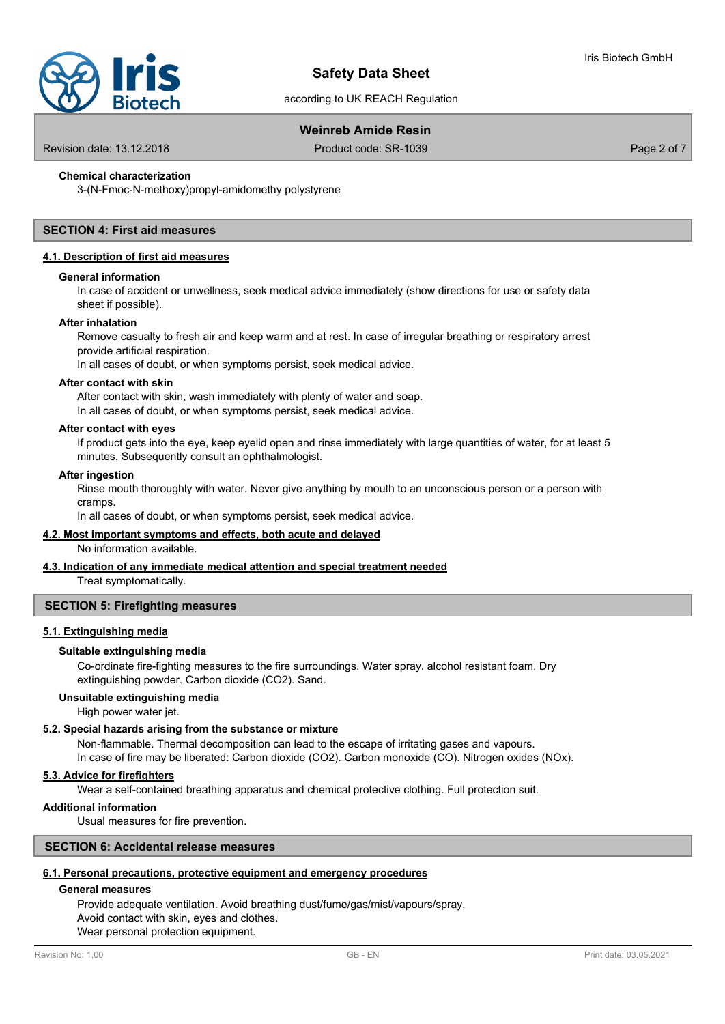

according to UK REACH Regulation

# **Weinreb Amide Resin**

Revision date: 13.12.2018 Product code: SR-1039 Page 2 of 7

# **Chemical characterization**

3-(N-Fmoc-N-methoxy)propyl-amidomethy polystyrene

# **SECTION 4: First aid measures**

# **4.1. Description of first aid measures**

### **General information**

In case of accident or unwellness, seek medical advice immediately (show directions for use or safety data sheet if possible).

# **After inhalation**

Remove casualty to fresh air and keep warm and at rest. In case of irregular breathing or respiratory arrest provide artificial respiration.

In all cases of doubt, or when symptoms persist, seek medical advice.

#### **After contact with skin**

After contact with skin, wash immediately with plenty of water and soap. In all cases of doubt, or when symptoms persist, seek medical advice.

### **After contact with eyes**

If product gets into the eye, keep eyelid open and rinse immediately with large quantities of water, for at least 5 minutes. Subsequently consult an ophthalmologist.

# **After ingestion**

Rinse mouth thoroughly with water. Never give anything by mouth to an unconscious person or a person with cramps.

In all cases of doubt, or when symptoms persist, seek medical advice.

# **4.2. Most important symptoms and effects, both acute and delayed**

No information available.

# **4.3. Indication of any immediate medical attention and special treatment needed**

Treat symptomatically.

# **SECTION 5: Firefighting measures**

# **5.1. Extinguishing media**

# **Suitable extinguishing media**

Co-ordinate fire-fighting measures to the fire surroundings. Water spray. alcohol resistant foam. Dry extinguishing powder. Carbon dioxide (CO2). Sand.

# **Unsuitable extinguishing media**

High power water jet.

# **5.2. Special hazards arising from the substance or mixture**

Non-flammable. Thermal decomposition can lead to the escape of irritating gases and vapours.

In case of fire may be liberated: Carbon dioxide (CO2). Carbon monoxide (CO). Nitrogen oxides (NOx).

# **5.3. Advice for firefighters**

Wear a self-contained breathing apparatus and chemical protective clothing. Full protection suit.

# **Additional information**

Usual measures for fire prevention.

# **SECTION 6: Accidental release measures**

# **6.1. Personal precautions, protective equipment and emergency procedures**

# **General measures**

Provide adequate ventilation. Avoid breathing dust/fume/gas/mist/vapours/spray.

Avoid contact with skin, eyes and clothes.

Wear personal protection equipment.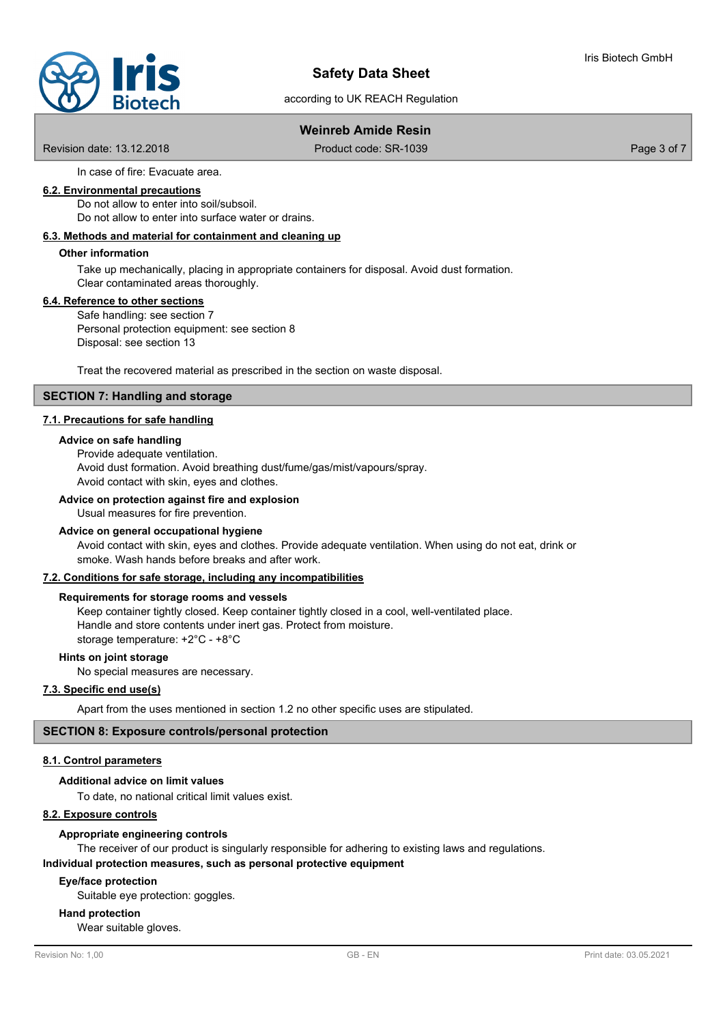# **Safety Data Sheet**

according to UK REACH Regulation

# **Weinreb Amide Resin**

Revision date: 13.12.2018 Product code: SR-1039 Page 3 of 7

In case of fire: Evacuate area.

# **6.2. Environmental precautions**

Do not allow to enter into soil/subsoil.

Do not allow to enter into surface water or drains.

# **6.3. Methods and material for containment and cleaning up**

# **Other information**

Take up mechanically, placing in appropriate containers for disposal. Avoid dust formation. Clear contaminated areas thoroughly.

# **6.4. Reference to other sections**

Safe handling: see section 7 Personal protection equipment: see section 8 Disposal: see section 13

Treat the recovered material as prescribed in the section on waste disposal.

# **SECTION 7: Handling and storage**

# **7.1. Precautions for safe handling**

### **Advice on safe handling**

Provide adequate ventilation.

Avoid dust formation. Avoid breathing dust/fume/gas/mist/vapours/spray.

Avoid contact with skin, eyes and clothes.

# **Advice on protection against fire and explosion**

Usual measures for fire prevention.

# **Advice on general occupational hygiene**

Avoid contact with skin, eyes and clothes. Provide adequate ventilation. When using do not eat, drink or smoke. Wash hands before breaks and after work.

### **7.2. Conditions for safe storage, including any incompatibilities**

# **Requirements for storage rooms and vessels**

Keep container tightly closed. Keep container tightly closed in a cool, well-ventilated place. Handle and store contents under inert gas. Protect from moisture. storage temperature: +2°C - +8°C

# **Hints on joint storage**

No special measures are necessary.

# **7.3. Specific end use(s)**

Apart from the uses mentioned in section 1.2 no other specific uses are stipulated.

# **SECTION 8: Exposure controls/personal protection**

# **8.1. Control parameters**

# **Additional advice on limit values**

To date, no national critical limit values exist.

# **8.2. Exposure controls**

# **Appropriate engineering controls**

The receiver of our product is singularly responsible for adhering to existing laws and regulations. **Individual protection measures, such as personal protective equipment**

# **Eye/face protection**

Suitable eye protection: goggles.

### **Hand protection**

Wear suitable gloves.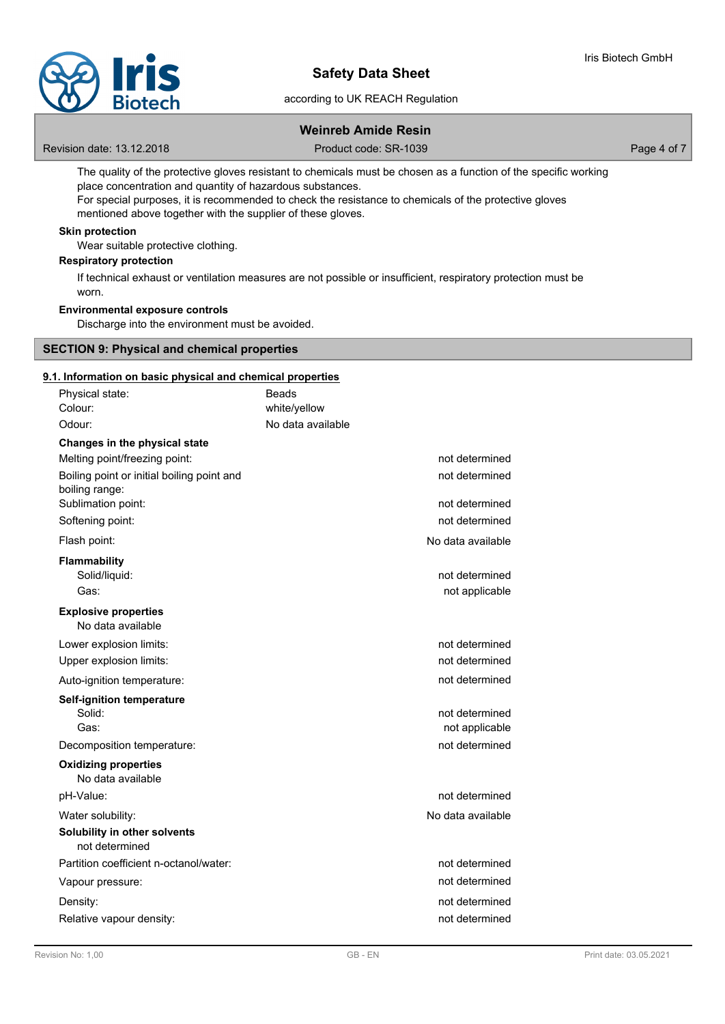

# **Safety Data Sheet**

according to UK REACH Regulation

# **Weinreb Amide Resin**

Revision date: 13.12.2018 **Product code: SR-1039** Product code: SR-1039

The quality of the protective gloves resistant to chemicals must be chosen as a function of the specific working place concentration and quantity of hazardous substances.

For special purposes, it is recommended to check the resistance to chemicals of the protective gloves mentioned above together with the supplier of these gloves.

# **Skin protection**

Wear suitable protective clothing.

# **Respiratory protection**

If technical exhaust or ventilation measures are not possible or insufficient, respiratory protection must be worn.

# **Environmental exposure controls**

Discharge into the environment must be avoided.

# **SECTION 9: Physical and chemical properties**

# **9.1. Information on basic physical and chemical properties**

| Physical state:<br>Colour:                                                         | Beads<br>white/yellow            |
|------------------------------------------------------------------------------------|----------------------------------|
| Odour:                                                                             | No data available                |
| Changes in the physical state                                                      |                                  |
| Melting point/freezing point:                                                      | not determined                   |
| Boiling point or initial boiling point and<br>boiling range:<br>Sublimation point: | not determined<br>not determined |
| Softening point:                                                                   | not determined                   |
|                                                                                    | No data available                |
| Flash point:                                                                       |                                  |
| <b>Flammability</b><br>Solid/liquid:                                               | not determined                   |
| Gas:                                                                               | not applicable                   |
| <b>Explosive properties</b><br>No data available                                   |                                  |
| Lower explosion limits:                                                            | not determined                   |
| Upper explosion limits:                                                            | not determined                   |
| Auto-ignition temperature:                                                         | not determined                   |
| <b>Self-ignition temperature</b>                                                   |                                  |
| Solid:                                                                             | not determined                   |
| Gas:                                                                               | not applicable                   |
| Decomposition temperature:                                                         | not determined                   |
| <b>Oxidizing properties</b><br>No data available                                   |                                  |
| pH-Value:                                                                          | not determined                   |
| Water solubility:                                                                  | No data available                |
| Solubility in other solvents<br>not determined                                     |                                  |
| Partition coefficient n-octanol/water:                                             | not determined                   |
| Vapour pressure:                                                                   | not determined                   |
| Density:                                                                           | not determined                   |
| Relative vapour density:                                                           | not determined                   |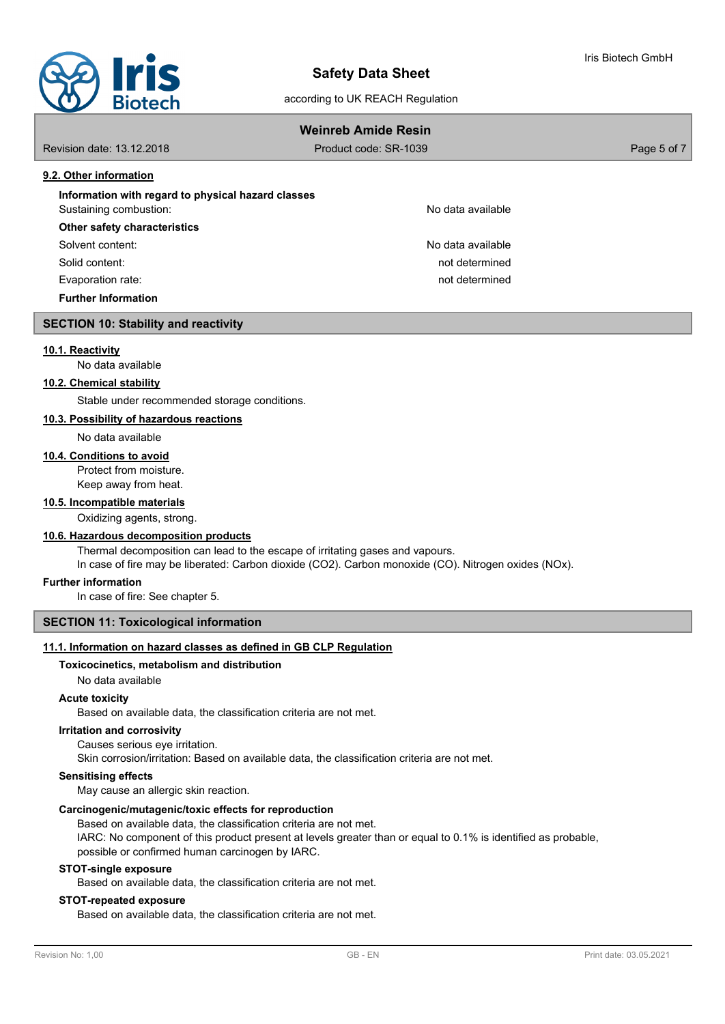

according to UK REACH Regulation

# Iris Biotech GmbH

# **Weinreb Amide Resin**

Revision date: 13.12.2018 Product code: SR-1039 Page 5 of 7

# **9.2. Other information**

| Information with regard to physical hazard classes |                   |
|----------------------------------------------------|-------------------|
| Sustaining combustion:                             | No data available |

# **Other safety characteristics**

Solvent content: No data available content: No data available

Solid content: not determined

Evaporation rate: not determined

**Further Information**

# **SECTION 10: Stability and reactivity**

# **10.1. Reactivity**

No data available

# **10.2. Chemical stability**

Stable under recommended storage conditions.

# **10.3. Possibility of hazardous reactions**

No data available

# **10.4. Conditions to avoid**

Protect from moisture. Keep away from heat.

# **10.5. Incompatible materials**

Oxidizing agents, strong.

# **10.6. Hazardous decomposition products**

Thermal decomposition can lead to the escape of irritating gases and vapours. In case of fire may be liberated: Carbon dioxide (CO2). Carbon monoxide (CO). Nitrogen oxides (NOx).

# **Further information**

In case of fire: See chapter 5.

# **SECTION 11: Toxicological information**

# **11.1. Information on hazard classes as defined in GB CLP Regulation**

# **Toxicocinetics, metabolism and distribution**

No data available

# **Acute toxicity**

Based on available data, the classification criteria are not met.

# **Irritation and corrosivity**

Causes serious eye irritation.

Skin corrosion/irritation: Based on available data, the classification criteria are not met.

# **Sensitising effects**

May cause an allergic skin reaction.

# **Carcinogenic/mutagenic/toxic effects for reproduction**

Based on available data, the classification criteria are not met. IARC: No component of this product present at levels greater than or equal to 0.1% is identified as probable, possible or confirmed human carcinogen by IARC.

### **STOT-single exposure**

Based on available data, the classification criteria are not met.

# **STOT-repeated exposure**

Based on available data, the classification criteria are not met.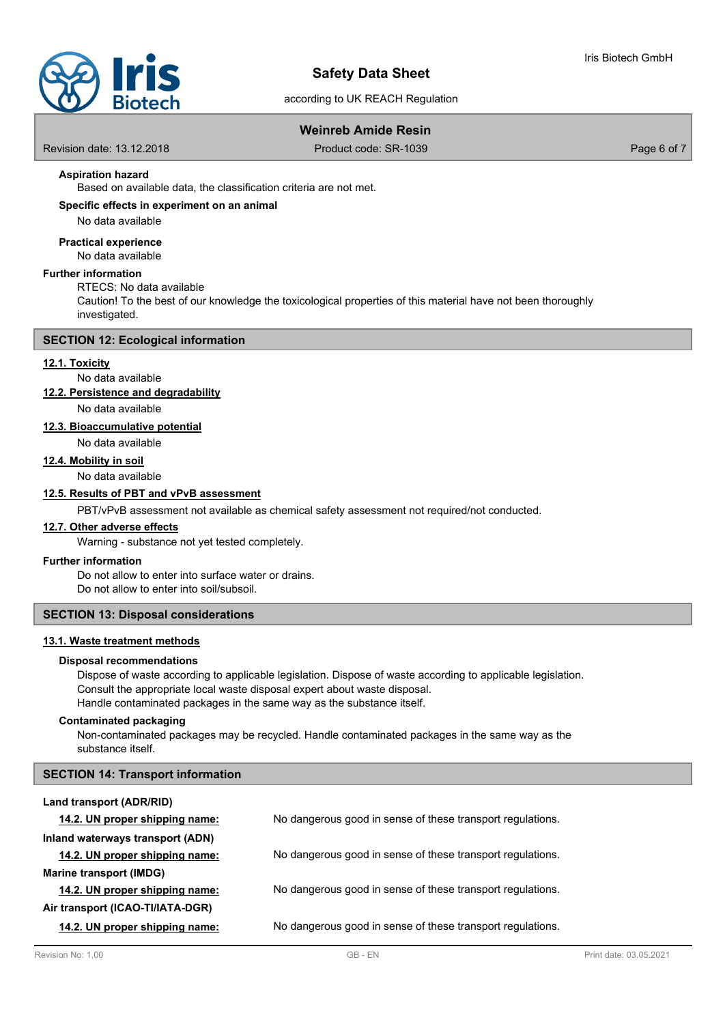

# according to UK REACH Regulation

# **Weinreb Amide Resin**

Revision date: 13.12.2018 Product code: SR-1039 Page 6 of 7

# **Aspiration hazard**

Based on available data, the classification criteria are not met.

# **Specific effects in experiment on an animal**

No data available

# **Practical experience**

No data available

# **Further information**

RTECS: No data available

Caution! To the best of our knowledge the toxicological properties of this material have not been thoroughly investigated.

### **SECTION 12: Ecological information**

# **12.1. Toxicity**

No data available

# **12.2. Persistence and degradability**

No data available

# **12.3. Bioaccumulative potential**

No data available

# **12.4. Mobility in soil**

No data available

# **12.5. Results of PBT and vPvB assessment**

PBT/vPvB assessment not available as chemical safety assessment not required/not conducted.

### **12.7. Other adverse effects**

Warning - substance not yet tested completely.

# **Further information**

Do not allow to enter into surface water or drains. Do not allow to enter into soil/subsoil.

# **SECTION 13: Disposal considerations**

# **13.1. Waste treatment methods**

# **Disposal recommendations**

Dispose of waste according to applicable legislation. Dispose of waste according to applicable legislation. Consult the appropriate local waste disposal expert about waste disposal. Handle contaminated packages in the same way as the substance itself.

### **Contaminated packaging**

Non-contaminated packages may be recycled. Handle contaminated packages in the same way as the substance itself.

# **SECTION 14: Transport information**

#### **Land transport (ADR/RID)**

| 14.2. UN proper shipping name:   | No dangerous good in sense of these transport regulations. |
|----------------------------------|------------------------------------------------------------|
| Inland waterways transport (ADN) |                                                            |
| 14.2. UN proper shipping name:   | No dangerous good in sense of these transport regulations. |
| <b>Marine transport (IMDG)</b>   |                                                            |
| 14.2. UN proper shipping name:   | No dangerous good in sense of these transport regulations. |
| Air transport (ICAO-TI/IATA-DGR) |                                                            |
| 14.2. UN proper shipping name:   | No dangerous good in sense of these transport regulations. |
|                                  |                                                            |